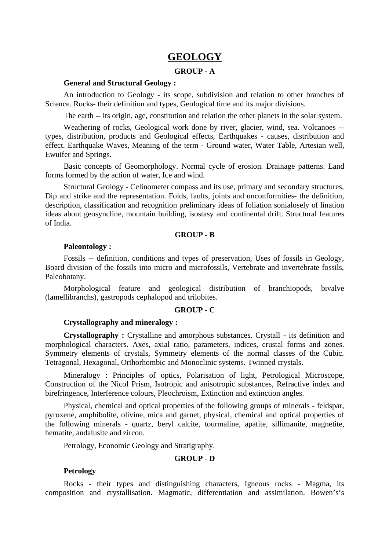# **GEOLOGY**

# **GROUP - A**

# **General and Structural Geology :**

An introduction to Geology - its scope, subdivision and relation to other branches of Science. Rocks- their definition and types, Geological time and its major divisions.

The earth -- its origin, age, constitution and relation the other planets in the solar system.

Weathering of rocks, Geological work done by river, glacier, wind, sea. Volcanoes - types, distribution, products and Geological effects, Earthquakes - causes, distribution and effect. Earthquake Waves, Meaning of the term - Ground water, Water Table, Artesian well, Ewuifer and Springs.

Basic concepts of Geomorphology. Normal cycle of erosion. Drainage patterns. Land forms formed by the action of water, Ice and wind.

Structural Geology - Celinometer compass and its use, primary and secondary structures, Dip and strike and the representation. Folds, faults, joints and unconformities- the definition, description, classification and recognition preliminary ideas of foliation sonialosely of lination ideas about geosyncline, mountain building, isostasy and continental drift. Structural features of India.

#### **GROUP - B**

#### **Paleontology :**

Fossils -- definition, conditions and types of preservation, Uses of fossils in Geology, Board division of the fossils into micro and microfossils, Vertebrate and invertebrate fossils, Paleobotany.

Morphological feature and geological distribution of branchiopods, bivalve (lamellibranchs), gastropods cephalopod and trilobites.

## **GROUP - C**

# **Crystallography and mineralogy :**

**Crystallography :** Crystalline and amorphous substances. Crystall - its definition and morphological characters. Axes, axial ratio, parameters, indices, crustal forms and zones. Symmetry elements of crystals, Symmetry elements of the normal classes of the Cubic. Tetragonal, Hexagonal, Orthorhombic and Monoclinic systems. Twinned crystals.

Mineralogy : Principles of optics, Polarisation of light, Petrological Microscope, Construction of the Nicol Prism, Isotropic and anisotropic substances, Refractive index and birefringence, Interference colours, Pleochroism, Extinction and extinction angles.

Physical, chemical and optical properties of the following groups of minerals - feldspar, pyroxene, amphibolite, olivine, mica and garnet, physical, chemical and optical properties of the following minerals - quartz, beryl calcite, tourmaline, apatite, sillimanite, magnetite, hematite, andalusite and zircon.

Petrology, Economic Geology and Stratigraphy.

# **GROUP - D**

#### **Petrology**

Rocks - their types and distinguishing characters, Igneous rocks - Magma, its composition and crystallisation. Magmatic, differentiation and assimilation. Bowen's's